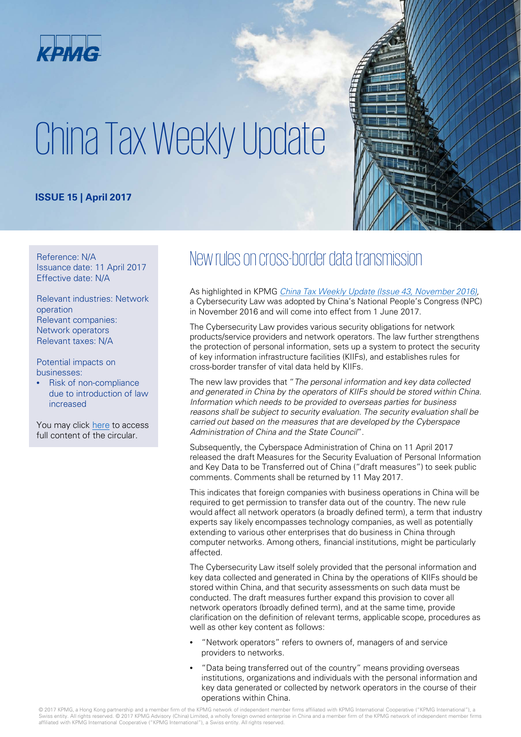

# China Tax Weekly Update

### **ISSUE 15 | April 2017**

Issuance date: 11 April 2017 Effective date: N/A

Relevant industries: Network operation Relevant companies: Network operators Relevant taxes: N/A

Potential impacts on businesses:

• Risk of non-compliance due to introduction of law increased

You may click [here](http://www.cac.gov.cn/2017-04/11/c_1120785691.htm) to access full content of the circular.

## Reference: N/A New rules on cross-border data transmission

As highlighted in KPMG [China Tax Weekly Update \(Issue 43, November 2016\)](https://home.kpmg.com/cn/en/home/insights/2016/11/china-tax-weekly-update-43.html), a Cybersecurity Law was adopted by China's National People's Congress (NPC) in November 2016 and will come into effect from 1 June 2017.

The Cybersecurity Law provides various security obligations for network products/service providers and network operators. The law further strengthens the protection of personal information, sets up a system to protect the security of key information infrastructure facilities (KIIFs), and establishes rules for cross-border transfer of vital data held by KIIFs.

The new law provides that "The personal information and key data collected and generated in China by the operators of KIIFs should be stored within China. Information which needs to be provided to overseas parties for business reasons shall be subject to security evaluation. The security evaluation shall be carried out based on the measures that are developed by the Cyberspace Administration of China and the State Council".

Subsequently, the Cyberspace Administration of China on 11 April 2017 released the draft Measures for the Security Evaluation of Personal Information and Key Data to be Transferred out of China ("draft measures") to seek public comments. Comments shall be returned by 11 May 2017.

This indicates that foreign companies with business operations in China will be required to get permission to transfer data out of the country. The new rule would affect all network operators (a broadly defined term), a term that industry experts say likely encompasses technology companies, as well as potentially extending to various other enterprises that do business in China through computer networks. Among others, financial institutions, might be particularly affected.

The Cybersecurity Law itself solely provided that the personal information and key data collected and generated in China by the operations of KIIFs should be stored within China, and that security assessments on such data must be conducted. The draft measures further expand this provision to cover all network operators (broadly defined term), and at the same time, provide clarification on the definition of relevant terms, applicable scope, procedures as well as other key content as follows:

- "Network operators" refers to owners of, managers of and service providers to networks.
- "Data being transferred out of the country" means providing overseas institutions, organizations and individuals with the personal information and key data generated or collected by network operators in the course of their operations within China.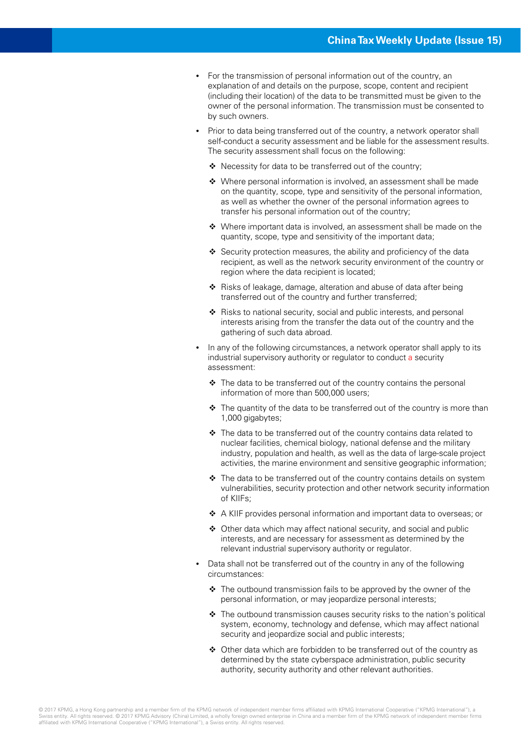- For the transmission of personal information out of the country, an explanation of and details on the purpose, scope, content and recipient (including their location) of the data to be transmitted must be given to the owner of the personal information. The transmission must be consented to by such owners.
- Prior to data being transferred out of the country, a network operator shall self-conduct a security assessment and be liable for the assessment results. The security assessment shall focus on the following:
	- \* Necessity for data to be transferred out of the country;
	- Where personal information is involved, an assessment shall be made on the quantity, scope, type and sensitivity of the personal information, as well as whether the owner of the personal information agrees to transfer his personal information out of the country;
	- Where important data is involved, an assessment shall be made on the quantity, scope, type and sensitivity of the important data;
	- $\triangle$  Security protection measures, the ability and proficiency of the data recipient, as well as the network security environment of the country or region where the data recipient is located;
	- Risks of leakage, damage, alteration and abuse of data after being transferred out of the country and further transferred;
	- \* Risks to national security, social and public interests, and personal interests arising from the transfer the data out of the country and the gathering of such data abroad.
- In any of the following circumstances, a network operator shall apply to its industrial supervisory authority or regulator to conduct a security assessment:
	- $\div$  The data to be transferred out of the country contains the personal information of more than 500,000 users;
	- $\cdot$  The quantity of the data to be transferred out of the country is more than 1,000 gigabytes;
	- The data to be transferred out of the country contains data related to nuclear facilities, chemical biology, national defense and the military industry, population and health, as well as the data of large-scale project activities, the marine environment and sensitive geographic information;
	- $\cdot$  The data to be transferred out of the country contains details on system vulnerabilities, security protection and other network security information of KIIFs;
	- A KIIF provides personal information and important data to overseas; or
	- Other data which may affect national security, and social and public interests, and are necessary for assessment as determined by the relevant industrial supervisory authority or regulator.
- Data shall not be transferred out of the country in any of the following circumstances:
	- The outbound transmission fails to be approved by the owner of the personal information, or may jeopardize personal interests;
	- The outbound transmission causes security risks to the nation's political system, economy, technology and defense, which may affect national security and jeopardize social and public interests;
	- Other data which are forbidden to be transferred out of the country as determined by the state cyberspace administration, public security authority, security authority and other relevant authorities.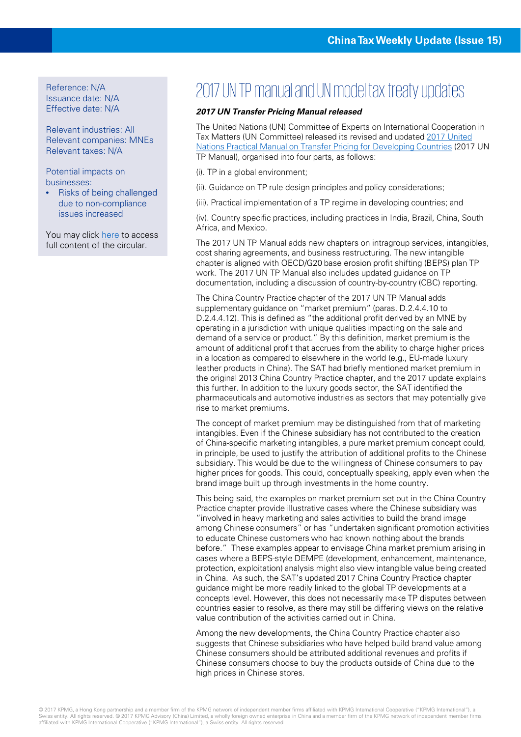Issuance date: N/A Effective date: N/A

Relevant industries: All Relevant companies: MNEs Relevant taxes: N/A

Potential impacts on businesses:

• Risks of being challenged due to non-compliance issues increased

You may click [here](https://www.un.org/development/desa/en/news/ecosoc/intl-coop-tax-ecosoc.htmlhttps:/www.un.org/development/desa/en/news/ecosoc/intl-coop-tax-ecosoc.html) to access full content of the circular.

## Reference: N/A<br>
2017 UN TP manual and UN model tax treaty updates

#### **2017 UN Transfer Pricing Manual released**

The United Nations (UN) Committee of Experts on International Cooperation in Tax Matters (UN Committee) released its revised and updated 2017 United [Nations Practical Manual on Transfer Pricing for Developing Countries](https://www.un.org/esa/ffd/wp-content/uploads/2017/04/Manual-TP-2017.pdf) (2017 UN TP Manual), organised into four parts, as follows:

(i). TP in a global environment;

(ii). Guidance on TP rule design principles and policy considerations;

(iii). Practical implementation of a TP regime in developing countries; and

(iv). Country specific practices, including practices in India, Brazil, China, South Africa, and Mexico.

The 2017 UN TP Manual adds new chapters on intragroup services, intangibles, cost sharing agreements, and business restructuring. The new intangible chapter is aligned with OECD/G20 base erosion profit shifting (BEPS) plan TP work. The 2017 UN TP Manual also includes updated guidance on TP documentation, including a discussion of country-by-country (CBC) reporting.

The China Country Practice chapter of the 2017 UN TP Manual adds supplementary guidance on "market premium" (paras. D.2.4.4.10 to D.2.4.4.12). This is defined as "the additional profit derived by an MNE by operating in a jurisdiction with unique qualities impacting on the sale and demand of a service or product." By this definition, market premium is the amount of additional profit that accrues from the ability to charge higher prices in a location as compared to elsewhere in the world (e.g., EU-made luxury leather products in China). The SAT had briefly mentioned market premium in the original 2013 China Country Practice chapter, and the 2017 update explains this further. In addition to the luxury goods sector, the SAT identified the pharmaceuticals and automotive industries as sectors that may potentially give rise to market premiums.

The concept of market premium may be distinguished from that of marketing intangibles. Even if the Chinese subsidiary has not contributed to the creation of China-specific marketing intangibles, a pure market premium concept could, in principle, be used to justify the attribution of additional profits to the Chinese subsidiary. This would be due to the willingness of Chinese consumers to pay higher prices for goods. This could, conceptually speaking, apply even when the brand image built up through investments in the home country.

This being said, the examples on market premium set out in the China Country Practice chapter provide illustrative cases where the Chinese subsidiary was "involved in heavy marketing and sales activities to build the brand image among Chinese consumers" or has "undertaken significant promotion activities to educate Chinese customers who had known nothing about the brands before." These examples appear to envisage China market premium arising in cases where a BEPS-style DEMPE (development, enhancement, maintenance, protection, exploitation) analysis might also view intangible value being created in China. As such, the SAT's updated 2017 China Country Practice chapter guidance might be more readily linked to the global TP developments at a concepts level. However, this does not necessarily make TP disputes between countries easier to resolve, as there may still be differing views on the relative value contribution of the activities carried out in China.

Among the new developments, the China Country Practice chapter also suggests that Chinese subsidiaries who have helped build brand value among Chinese consumers should be attributed additional revenues and profits if Chinese consumers choose to buy the products outside of China due to the high prices in Chinese stores.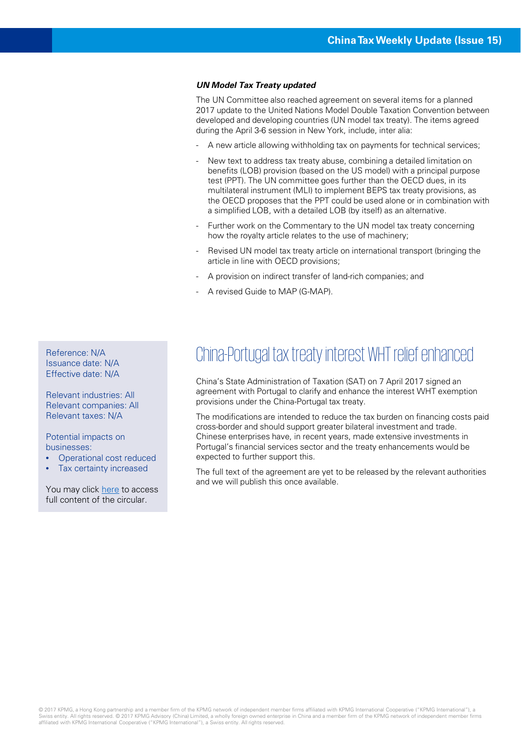#### **UN Model Tax Treaty updated**

The UN Committee also reached agreement on several items for a planned 2017 update to the United Nations Model Double Taxation Convention between developed and developing countries (UN model tax treaty). The items agreed during the April 3-6 session in New York, include, inter alia:

- A new article allowing withholding tax on payments for technical services;
- New text to address tax treaty abuse, combining a detailed limitation on benefits (LOB) provision (based on the US model) with a principal purpose test (PPT). The UN committee goes further than the OECD dues, in its multilateral instrument (MLI) to implement BEPS tax treaty provisions, as the OECD proposes that the PPT could be used alone or in combination with a simplified LOB, with a detailed LOB (by itself) as an alternative.
- Further work on the Commentary to the UN model tax treaty concerning how the royalty article relates to the use of machinery;
- Revised UN model tax treaty article on international transport (bringing the article in line with OECD provisions;
- A provision on indirect transfer of land-rich companies; and
- A revised Guide to MAP (G-MAP).

Issuance date: N/A Effective date: N/A

Relevant industries: All Relevant companies: All Relevant taxes: N/A

Potential impacts on businesses:

- Operational cost reduced
- Tax certainty increased

You may click [here](http://www.chinatax.gov.cn/n810219/n810729/n811748/c2548019/content.html) to access full content of the circular.

## Reference: N/A China-Portugal tax treaty interest WHT relief enhanced

China's State Administration of Taxation (SAT) on 7 April 2017 signed an agreement with Portugal to clarify and enhance the interest WHT exemption provisions under the China-Portugal tax treaty.

The modifications are intended to reduce the tax burden on financing costs paid cross-border and should support greater bilateral investment and trade. Chinese enterprises have, in recent years, made extensive investments in Portugal's financial services sector and the treaty enhancements would be expected to further support this.

The full text of the agreement are yet to be released by the relevant authorities and we will publish this once available.

© 2017 KPMG, a Hong Kong partnership and a member firm of the KPMG network of independent member firms affiliated with KPMG International Cooperative ("KPMG International"), a Swiss entity. All rights reserved. © 2017 KPMG Advisory (China) Limited, a wholly foreign owned enterprise in China and a member firm of the KPMG network of independent member firms affiliated with KPMG International Cooperative ("KPMG International"), a Swiss entity. All rights reserved.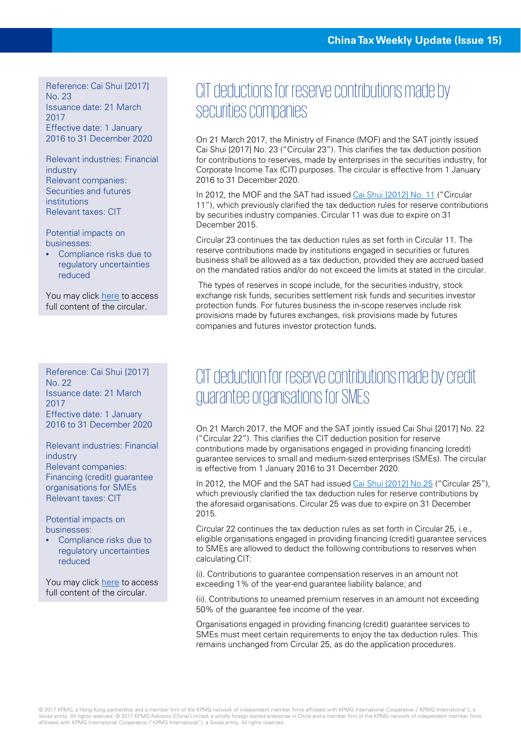Reference: Cai Shui [2017] No. 23 Issuance date: 21 March 2017 Effective date: 1 January 2016 to 31 December 2020

Relevant industries: Financial industry Relevant companies: Securities and futures institutions Relevant taxes: CIT

Potential impacts on businesses:

Compliance risks due to regulatory uncertainties reduced

You may click [here](http://szs.mof.gov.cn/zhengwuxinxi/zhengcefabu/201704/t20170406_2575696.html) to access full content of the circular.

Reference: Cai Shui [2017] No. 22 Issuance date: 21 March 2017 Effective date: 1 January 2016 to 31 December 2020

Relevant industries: Financial industry Relevant companies: Financing (credit) guarantee organisations for SMEs Relevant taxes: CIT

Potential impacts on businesses:

Compliance risks due to regulatory uncertainties reduced

You may click [here](http://szs.mof.gov.cn/zhengwuxinxi/zhengcefabu/201704/t20170406_2575695.html) to access full content of the circular.

## CIT deductions for reserve contributions made by securities companies

On 21 March 2017, the Ministry of Finance (MOF) and the SAT jointly issued Cai Shui [2017] No. 23 ("Circular 23"). This clarifies the tax deduction position for contributions to reserves, made by enterprises in the securities industry, for Corporate Income Tax (CIT) purposes. The circular is effective from 1 January 2016 to 31 December 2020.

In 2012, the MOF and the SAT had issued [Cai Shui \[2012\] No. 11](http://szs.mof.gov.cn/zhengwuxinxi/zhengcefabu/201202/t20120227_631007.html) ("Circular 11"), which previously clarified the tax deduction rules for reserve contributions by securities industry companies. Circular 11 was due to expire on 31 December 2015.

Circular 23 continues the tax deduction rules as set forth in Circular 11. The reserve contributions made by institutions engaged in securities or futures business shall be allowed as a tax deduction, provided they are accrued based on the mandated ratios and/or do not exceed the limits at stated in the circular.

The types of reserves in scope include, for the securities industry, stock exchange risk funds, securities settlement risk funds and securities investor protection funds. For futures business the in-scope reserves include risk provisions made by futures exchanges, risk provisions made by futures companies and futures investor protection funds.

## CIT deduction for reserve contributions made by credit guarantee organisations for SMEs

On 21 March 2017, the MOF and the SAT jointly issued Cai Shui [2017] No. 22 ("Circular 22"). This clarifies the CIT deduction position for reserve contributions made by organisations engaged in providing financing (credit) guarantee services to small and medium-sized enterprises (SMEs). The circular is effective from 1 January 2016 to 31 December 2020.

In 2012, the MOF and the SAT had issued [Cai Shui \[2012\] No.25](http://szs.mof.gov.cn/zhengwuxinxi/zhengcefabu/201204/t20120419_644286.html) ("Circular 25"), which previously clarified the tax deduction rules for reserve contributions by the aforesaid organisations. Circular 25 was due to expire on 31 December 2015.

Circular 22 continues the tax deduction rules as set forth in Circular 25, i.e., eligible organisations engaged in providing financing (credit) guarantee services to SMEs are allowed to deduct the following contributions to reserves when calculating CIT:

(i). Contributions to guarantee compensation reserves in an amount not exceeding 1% of the year-end guarantee liability balance; and

(ii). Contributions to unearned premium reserves in an amount not exceeding 50% of the guarantee fee income of the year.

Organisations engaged in providing financing (credit) guarantee services to SMEs must meet certain requirements to enjoy the tax deduction rules. This remains unchanged from Circular 25, as do the application procedures.